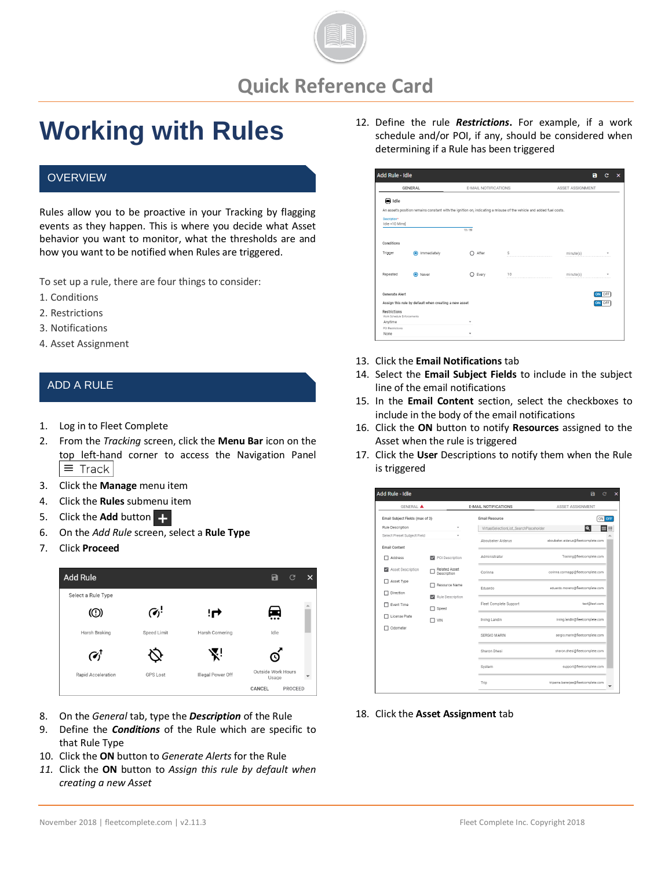

**Quick Reference Card**

# **Working with Rules**

### **OVERVIEW**

Rules allow you to be proactive in your Tracking by flagging events as they happen. This is where you decide what Asset behavior you want to monitor, what the thresholds are and how you want to be notified when Rules are triggered.

To set up a rule, there are four things to consider:

- 1. Conditions
- 2. Restrictions
- 3. Notifications
- 4. Asset Assignment

#### ADD A RULE

- 1. Log in to Fleet Complete
- 2. From the *Tracking* screen, click the **Menu Bar** icon on the top left-hand corner to access the Navigation Panel  $\equiv$  Track
- 3. Click the **Manage** menu item
- 4. Click the **Rules** submenu item
- 5. Click the **Add** button
- 6. On the *Add Rule* screen, select a **Rule Type**
- 7. Click **Proceed**



- 8. On the *General* tab, type the *Description* of the Rule
- 9. Define the *Conditions* of the Rule which are specific to that Rule Type
- 10. Click the **ON** button to *Generate Alerts* for the Rule
- *11.* Click the **ON** button to *Assign this rule by default when creating a new Asset*

12. Define the rule *Restrictions***.** For example, if a work schedule and/or POI, if any, should be considered when determining if a Rule has been triggered

| <b>GENERAL</b>                             |                                                       | <b>F-MAIL NOTIFICATIONS</b> |                                                                                                                     | ASSET ASSIGNMENT |        |
|--------------------------------------------|-------------------------------------------------------|-----------------------------|---------------------------------------------------------------------------------------------------------------------|------------------|--------|
|                                            |                                                       |                             |                                                                                                                     |                  |        |
| al Idle                                    |                                                       |                             |                                                                                                                     |                  |        |
|                                            |                                                       |                             | An asset's position remains constant with the ignition on, indicating a misuse of the vehicle and added fuel costs. |                  |        |
| Description*<br>Idle +10 Mins              |                                                       |                             |                                                                                                                     |                  |        |
|                                            |                                                       | 13/50                       |                                                                                                                     |                  |        |
| Conditions                                 |                                                       |                             |                                                                                                                     |                  |        |
| Trigger                                    | Immediately<br>ൈ                                      | After                       | 5                                                                                                                   | minute(s)        |        |
| Repeated                                   | O Never                                               | Every                       | 10                                                                                                                  | minute(s)        |        |
| Generate Alert                             |                                                       |                             |                                                                                                                     |                  | ON OFF |
|                                            | Assign this rule by default when creating a new asset |                             |                                                                                                                     |                  | OFF    |
| Restrictions<br>Work Schedule Enforcements |                                                       |                             |                                                                                                                     |                  |        |
| Anytime                                    |                                                       | ٠                           |                                                                                                                     |                  |        |
| POI Restrictions                           |                                                       |                             |                                                                                                                     |                  |        |

- 13. Click the **Email Notifications** tab
- 14. Select the **Email Subject Fields** to include in the subject line of the email notifications
- 15. In the **Email Content** section, select the checkboxes to include in the body of the email notifications
- 16. Click the **ON** button to notify **Resources** assigned to the Asset when the rule is triggered
- 17. Click the **User** Descriptions to notify them when the Rule is triggered

| <b>GENERAL A</b>                |                                     | <b>E-MAIL NOTIFICATIONS</b>            | ASSET ASSIGNMENT                    |
|---------------------------------|-------------------------------------|----------------------------------------|-------------------------------------|
| Email Subject Fields (max of 3) |                                     | <b>Email Resource</b>                  | ON OFF                              |
| Rule Description                |                                     | VirtualSelectionList SearchPlaceholder | 38<br>Q                             |
| Select Preset Subject Field     |                                     | Aboubaker Aidarus                      | aboubaker.aidarus@fleetcomplete.com |
| <b>Email Content</b>            |                                     |                                        |                                     |
| Address<br>п                    | POI Description                     | Administrator                          | Training@fleetcomplete.com          |
| Asset Description               | <b>Related Asset</b><br>Description | Corinna                                | corinna.cormaggi@fleetcomplete.com  |
| Asset Type<br>п                 | Resource Name                       | Fduardo                                | eduardo.moreno@fleetcomplete.com    |
| Direction<br>п                  | Rule Description<br>$\checkmark$    |                                        |                                     |
| Event Time<br>ш                 | Speed<br>┑                          | Fleet Complete Support                 | test@test.com                       |
| License Plate                   | $\neg$ vin                          | Irving Landin                          | irving.landin@fleetcomplete.com     |
| Odometer                        |                                     | SERGIO MARIN                           | sergio.marin@fleetcomplete.com      |
|                                 |                                     | Sharon Dhesi                           | sharon.dhesi@fleetcomplete.com      |
|                                 |                                     | System                                 | support@fleetcomplete.com           |
|                                 |                                     | Trip                                   | triparna.baneriee@fleetcomplete.com |

18. Click the **Asset Assignment** tab